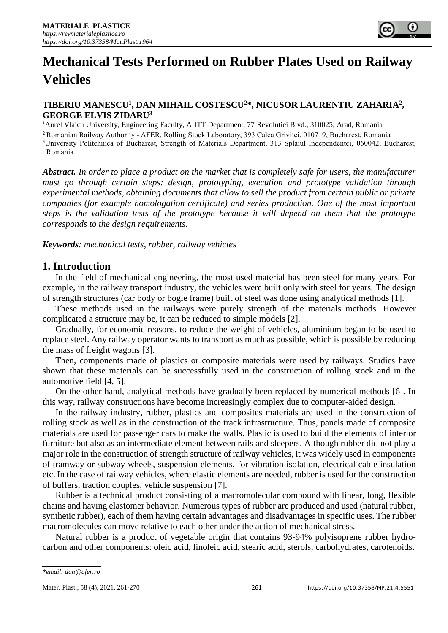# **Mechanical Tests Performed on Rubber Plates Used on Railway Vehicles**

## **TIBERIU MANESCU<sup>1</sup> , DAN MIHAIL COSTESCU<sup>2</sup>\*, NICUSOR LAURENTIU ZAHARIA<sup>2</sup> , GEORGE ELVIS ZIDARU<sup>3</sup>**

<sup>1</sup>Aurel Vlaicu University, Engineering Faculty, AIITT Department, 77 Revolutiei Blvd., 310025, Arad, Romania

<sup>2</sup>Romanian Railway Authority - AFER, Rolling Stock Laboratory, 393 Calea Grivitei, 010719, Bucharest, Romania

<sup>3</sup>University Politehnica of Bucharest, Strength of Materials Department, 313 Splaiul Independentei, 060042, Bucharest, Romania

*Abstract. In order to place a product on the market that is completely safe for users, the manufacturer must go through certain steps: design, prototyping, execution and prototype validation through experimental methods, obtaining documents that allow to sell the product from certain public or private companies (for example homologation certificate) and series production. One of the most important steps is the validation tests of the prototype because it will depend on them that the prototype corresponds to the design requirements.* 

*Keywords: mechanical tests, rubber, railway vehicles* 

## **1. Introduction**

In the field of mechanical engineering, the most used material has been steel for many years. For example, in the railway transport industry, the vehicles were built only with steel for years. The design of strength structures (car body or bogie frame) built of steel was done using analytical methods [1].

These methods used in the railways were purely strength of the materials methods. However complicated a structure may be, it can be reduced to simple models [2].

Gradually, for economic reasons, to reduce the weight of vehicles, aluminium began to be used to replace steel. Any railway operator wants to transport as much as possible, which is possible by reducing the mass of freight wagons [3].

Then, components made of plastics or composite materials were used by railways. Studies have shown that these materials can be successfully used in the construction of rolling stock and in the automotive field [4, 5].

On the other hand, analytical methods have gradually been replaced by numerical methods [6]. In this way, railway constructions have become increasingly complex due to computer-aided design.

In the railway industry, rubber, plastics and composites materials are used in the construction of rolling stock as well as in the construction of the track infrastructure. Thus, panels made of composite materials are used for passenger cars to make the walls. Plastic is used to build the elements of interior furniture but also as an intermediate element between rails and sleepers. Although rubber did not play a major role in the construction of strength structure of railway vehicles, it was widely used in components of tramway or subway wheels, suspension elements, for vibration isolation, electrical cable insulation etc. In the case of railway vehicles, where elastic elements are needed, rubber is used for the construction of buffers, traction couples, vehicle suspension [7].

Rubber is a technical product consisting of a macromolecular compound with linear, long, flexible chains and having elastomer behavior. Numerous types of rubber are produced and used (natural rubber, synthetic rubber), each of them having certain advantages and disadvantages in specific uses. The rubber macromolecules can move relative to each other under the action of mechanical stress.

Natural rubber is a product of vegetable origin that contains 93-94% polyisoprene rubber hydrocarbon and other components: oleic acid, linoleic acid, stearic acid, sterols, carbohydrates, carotenoids.

*<sup>\*</sup>email: dan@afer.ro*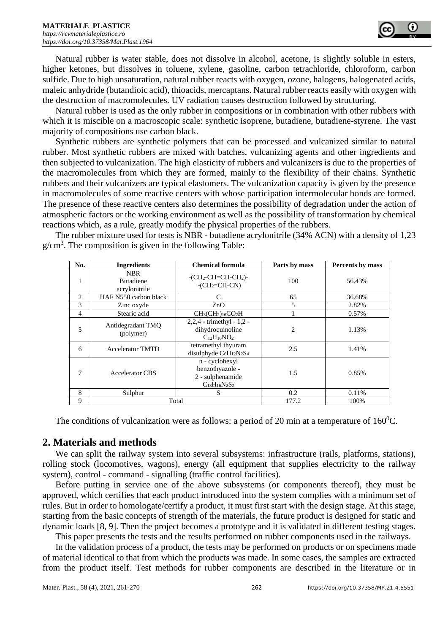Natural rubber is water stable, does not dissolve in alcohol, acetone, is slightly soluble in esters, higher ketones, but dissolves in toluene, xylene, gasoline, carbon tetrachloride, chloroform, carbon sulfide. Due to high unsaturation, natural rubber reacts with oxygen, ozone, halogens, halogenated acids, maleic anhydride (butandioic acid), thioacids, mercaptans. Natural rubber reacts easily with oxygen with the destruction of macromolecules. UV radiation causes destruction followed by structuring.

Natural rubber is used as the only rubber in compositions or in combination with other rubbers with which it is miscible on a macroscopic scale: synthetic isoprene, butadiene, butadiene-styrene. The vast majority of compositions use carbon black.

Synthetic rubbers are synthetic polymers that can be processed and vulcanized similar to natural rubber. Most synthetic rubbers are mixed with batches, vulcanizing agents and other ingredients and then subjected to vulcanization. The high elasticity of rubbers and vulcanizers is due to the properties of the macromolecules from which they are formed, mainly to the flexibility of their chains. Synthetic rubbers and their vulcanizers are typical elastomers. The vulcanization capacity is given by the presence in macromolecules of some reactive centers with whose participation intermolecular bonds are formed. The presence of these reactive centers also determines the possibility of degradation under the action of atmospheric factors or the working environment as well as the possibility of transformation by chemical reactions which, as a rule, greatly modify the physical properties of the rubbers.

The rubber mixture used for tests is NBR - butadiene acrylonitrile (34% ACN) with a density of 1,23  $g/cm<sup>3</sup>$ . The composition is given in the following Table:

| No.            | <b>Ingredients</b>                              | <b>Chemical formula</b>                                                       | Parts by mass | Percents by mass |
|----------------|-------------------------------------------------|-------------------------------------------------------------------------------|---------------|------------------|
| 1              | <b>NBR</b><br><b>Butadiene</b><br>acrylonitrile | $-CH_2-CH=CH-CH_2$<br>$-CH_2=CH-CN$                                           | 100           | 56.43%           |
| 2              | HAF N550 carbon black                           | C                                                                             | 65            | 36.68%           |
| 3              | Zinc oxyde                                      | ZnO                                                                           | 5             | 2.82%            |
| $\overline{4}$ | Stearic acid                                    | $CH_3CH_2)_{16}CO_2H$                                                         |               | 0.57%            |
| 5              | Antidegradant TMO<br>(polymer)                  | $2,2,4$ - trimethyl - 1,2 -<br>dihydroquinoline<br>$C_{12}H_{16}NO_2$         | 2             | 1.13%            |
| 6              | <b>Accelerator TMTD</b>                         | tetramethyl thyuram<br>disulphyde $C_6H_{12}N_2S_4$                           | 2.5           | 1.41%            |
| 7              | <b>Accelerator CBS</b>                          | n - cyclohexyl<br>benzothyazole -<br>2 - sulphenamide<br>$C_{13}H_{16}N_2S_2$ | 1.5           | 0.85%            |
| 8              | Sulphur                                         | S                                                                             | 0.2           | 0.11%            |
| 9              |                                                 | Total                                                                         | 177.2         | 100%             |

The conditions of vulcanization were as follows: a period of 20 min at a temperature of  $160^{\circ}$ C.

# **2. Materials and methods**

We can split the railway system into several subsystems: infrastructure (rails, platforms, stations), rolling stock (locomotives, wagons), energy (all equipment that supplies electricity to the railway system), control - command - signalling (traffic control facilities).

Before putting in service one of the above subsystems (or components thereof), they must be approved, which certifies that each product introduced into the system complies with a minimum set of rules. But in order to homologate/certify a product, it must first start with the design stage. At this stage, starting from the basic concepts of strength of the materials, the future product is designed for static and dynamic loads [8, 9]. Then the project becomes a prototype and it is validated in different testing stages.

This paper presents the tests and the results performed on rubber components used in the railways.

In the validation process of a product, the tests may be performed on products or on specimens made of material identical to that from which the products was made. In some cases, the samples are extracted from the product itself. Test methods for rubber components are described in the literature or in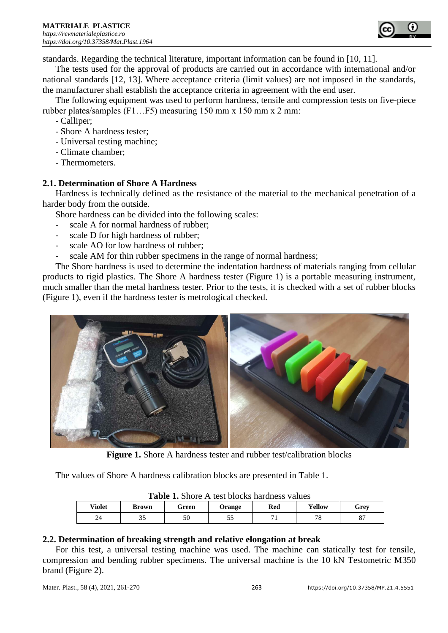standards. Regarding the technical literature, important information can be found in [10, 11].

The tests used for the approval of products are carried out in accordance with international and/or national standards [12, 13]. Where acceptance criteria (limit values) are not imposed in the standards, the manufacturer shall establish the acceptance criteria in agreement with the end user.

The following equipment was used to perform hardness, tensile and compression tests on five-piece rubber plates/samples (F1…F5) measuring 150 mm x 150 mm x 2 mm:

- Calliper;
- Shore A hardness tester;
- Universal testing machine;
- Climate chamber;
- Thermometers.

# **2.1. Determination of Shore A Hardness**

Hardness is technically defined as the resistance of the material to the mechanical penetration of a harder body from the outside.

Shore hardness can be divided into the following scales:

- scale A for normal hardness of rubber;
- scale D for high hardness of rubber;
- scale AO for low hardness of rubber;
- scale AM for thin rubber specimens in the range of normal hardness;

The Shore hardness is used to determine the indentation hardness of materials ranging from cellular products to rigid plastics. The Shore A hardness tester (Figure 1) is a portable measuring instrument, much smaller than the metal hardness tester. Prior to the tests, it is checked with a set of rubber blocks (Figure 1), even if the hardness tester is metrological checked.



Figure 1. Shore A hardness tester and rubber test/calibration blocks

The values of Shore A hardness calibration blocks are presented in Table 1.

| <b>Table 1.</b> Shore A lest blocks hardness values |       |       |               |     |        |      |  |
|-----------------------------------------------------|-------|-------|---------------|-----|--------|------|--|
| Violet                                              | Brown | Green | <b>Orange</b> | Red | Yellow | Grev |  |
| 24                                                  | 35    | 50    | ر د           |     | 7c     |      |  |

**Table 1.** Shore A test blocks hardness values

## **2.2. Determination of breaking strength and relative elongation at break**

For this test, a universal testing machine was used. The machine can statically test for tensile, compression and bending rubber specimens. The universal machine is the 10 kN Testometric M350 brand (Figure 2).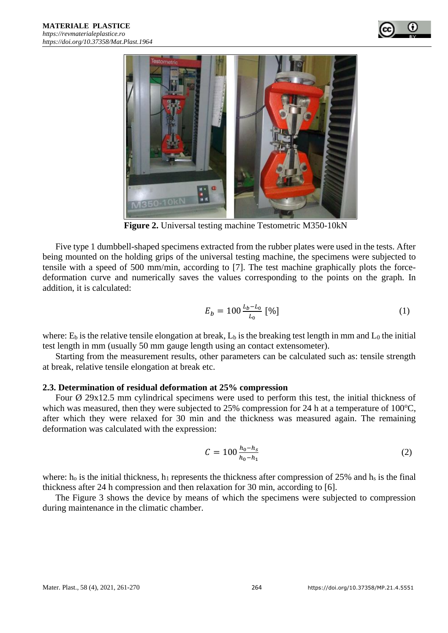



**Figure 2.** Universal testing machine Testometric M350-10kN

Five type 1 dumbbell-shaped specimens extracted from the rubber plates were used in the tests. After being mounted on the holding grips of the universal testing machine, the specimens were subjected to tensile with a speed of 500 mm/min, according to [7]. The test machine graphically plots the forcedeformation curve and numerically saves the values corresponding to the points on the graph. In addition, it is calculated:

$$
E_b = 100 \frac{L_b - L_0}{L_0} \, [\%]
$$
 (1)

where:  $E_b$  is the relative tensile elongation at break,  $L_b$  is the breaking test length in mm and  $L_0$  the initial test length in mm (usually 50 mm gauge length using an contact extensometer).

Starting from the measurement results, other parameters can be calculated such as: tensile strength at break, relative tensile elongation at break etc.

#### **2.3. Determination of residual deformation at 25% compression**

Four  $\varnothing$  29x12.5 mm cylindrical specimens were used to perform this test, the initial thickness of which was measured, then they were subjected to  $25\%$  compression for 24 h at a temperature of 100 $^{\circ}$ C, after which they were relaxed for 30 min and the thickness was measured again. The remaining deformation was calculated with the expression:

$$
C = 100 \frac{h_0 - h_s}{h_0 - h_1} \tag{2}
$$

where:  $h_0$  is the initial thickness,  $h_1$  represents the thickness after compression of 25% and  $h_s$  is the final thickness after 24 h compression and then relaxation for 30 min, according to [6].

The Figure 3 shows the device by means of which the specimens were subjected to compression during maintenance in the climatic chamber.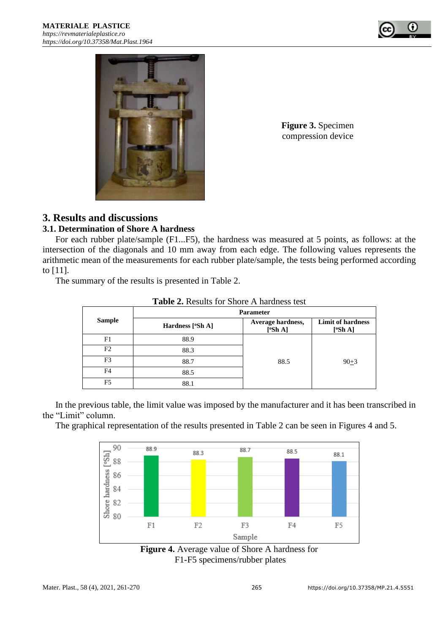



**Figure 3.** Specimen compression device

# **3. Results and discussions**

## **3.1. Determination of Shore A hardness**

For each rubber plate/sample (F1...F5), the hardness was measured at 5 points, as follows: at the intersection of the diagonals and 10 mm away from each edge. The following values represents the arithmetic mean of the measurements for each rubber plate/sample, the tests being performed according to [11].

The summary of the results is presented in Table 2.

|                | <b>Parameter</b> |                              |                                     |  |  |  |
|----------------|------------------|------------------------------|-------------------------------------|--|--|--|
| <b>Sample</b>  | Hardness [°Sh A] | Average hardness,<br>[°Sh A] | <b>Limit of hardness</b><br>[°Sh A] |  |  |  |
| F1             | 88.9             |                              |                                     |  |  |  |
| F <sub>2</sub> | 88.3             |                              |                                     |  |  |  |
| F3             | 88.7             | 88.5                         | $90+3$                              |  |  |  |
| F4             | 88.5             |                              |                                     |  |  |  |
| F <sub>5</sub> | 88.1             |                              |                                     |  |  |  |

**Table 2.** Results for Shore A hardness test

In the previous table, the limit value was imposed by the manufacturer and it has been transcribed in the "Limit" column.

The graphical representation of the results presented in Table 2 can be seen in Figures 4 and 5.



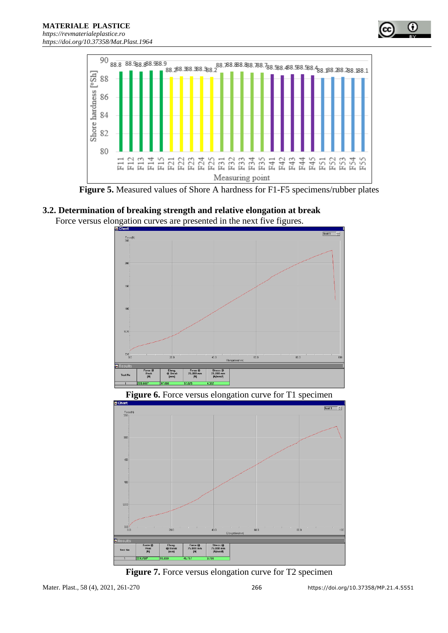

**Figure 5.** Measured values of Shore A hardness for F1-F5 specimens/rubber plates

# **3.2. Determination of breaking strength and relative elongation at break**

Force versus elongation curves are presented in the next five figures.



**Figure 6.** Force versus elongation curve for T1 specimen



**Figure 7.** Force versus elongation curve for T2 specimen

o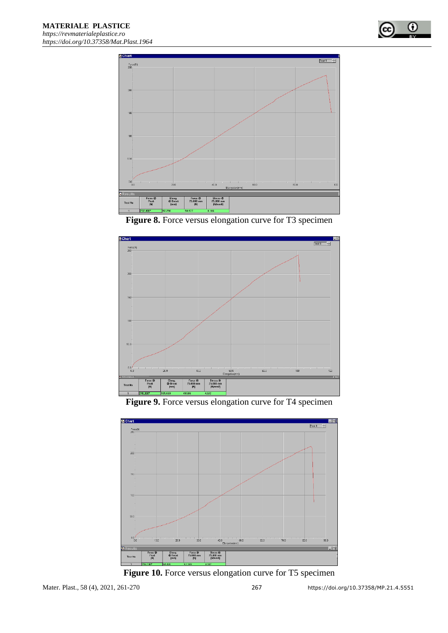







Figure 9. Force versus elongation curve for T4 specimen



Figure 10. Force versus elongation curve for T5 specimen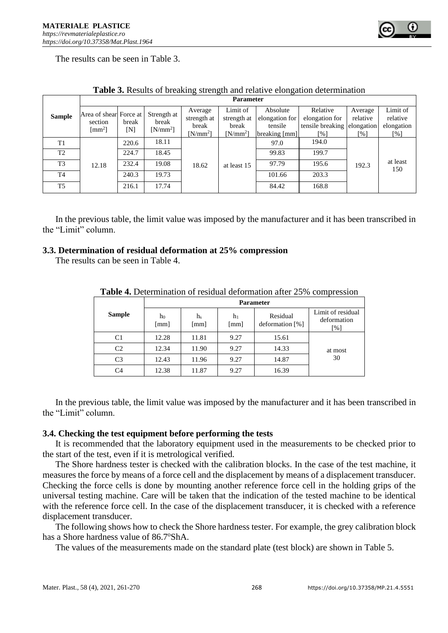

The results can be seen in Table 3.

|                | <b>Parameter</b>                  |       |             |             |             |                |                             |          |                 |
|----------------|-----------------------------------|-------|-------------|-------------|-------------|----------------|-----------------------------|----------|-----------------|
|                | Area of shear Force at            |       | Strength at | Average     | Limit of    | Absolute       | Relative                    | Average  | Limit of        |
| <b>Sample</b>  | section                           | break | break       | strength at | strength at | elongation for | elongation for              | relative | relative        |
|                | $\lceil$ mm <sup>2</sup> $\rceil$ | ſΝl   | $[N/mm^2]$  | break       | break       | tensile        | tensile breaking elongation |          | elongation      |
|                |                                   |       |             | $[N/mm^2]$  | $[N/mm^2]$  | breaking [mm]  | [%]                         | [%]      | [%]             |
| T1             | 12.18                             | 220.6 | 18.11       | 18.62       | at least 15 | 97.0           | 194.0                       |          |                 |
| T2             |                                   | 224.7 | 18.45       |             |             | 99.83          | 199.7                       |          |                 |
| T <sub>3</sub> |                                   | 232.4 | 19.08       |             |             | 97.79          | 195.6                       | 192.3    | at least<br>150 |
| T <sub>4</sub> |                                   | 240.3 | 19.73       |             |             | 101.66         | 203.3                       |          |                 |
| T <sub>5</sub> |                                   | 216.1 | 17.74       |             |             | 84.42          | 168.8                       |          |                 |

**Table 3.** Results of breaking strength and relative elongation determination

In the previous table, the limit value was imposed by the manufacturer and it has been transcribed in the "Limit" column.

#### **3.3. Determination of residual deformation at 25% compression**

The results can be seen in Table 4.

|                | <b>Parameter</b> |                        |                            |                             |                                                       |  |  |
|----------------|------------------|------------------------|----------------------------|-----------------------------|-------------------------------------------------------|--|--|
| <b>Sample</b>  | ho<br>[mm]       | h <sub>s</sub><br>[mm] | h1<br>$\lceil$ mm $\rceil$ | Residual<br>deformation [%] | Limit of residual<br>deformation<br>$\lceil\% \rceil$ |  |  |
| C1             | 12.28            | 11.81                  | 9.27                       | 15.61                       |                                                       |  |  |
| C2             | 12.34            | 11.90                  | 9.27                       | 14.33                       | at most                                               |  |  |
| C <sub>3</sub> | 12.43            | 11.96                  | 9.27                       | 14.87                       | 30                                                    |  |  |
| C4             | 12.38            | 11.87                  | 9.27                       | 16.39                       |                                                       |  |  |

**Table 4.** Determination of residual deformation after 25% compression

In the previous table, the limit value was imposed by the manufacturer and it has been transcribed in the "Limit" column.

#### **3.4. Checking the test equipment before performing the tests**

It is recommended that the laboratory equipment used in the measurements to be checked prior to the start of the test, even if it is metrological verified.

The Shore hardness tester is checked with the calibration blocks. In the case of the test machine, it measures the force by means of a force cell and the displacement by means of a displacement transducer. Checking the force cells is done by mounting another reference force cell in the holding grips of the universal testing machine. Care will be taken that the indication of the tested machine to be identical with the reference force cell. In the case of the displacement transducer, it is checked with a reference displacement transducer.

The following shows how to check the Shore hardness tester. For example, the grey calibration block has a Shore hardness value of 86.7°ShA.

The values of the measurements made on the standard plate (test block) are shown in Table 5.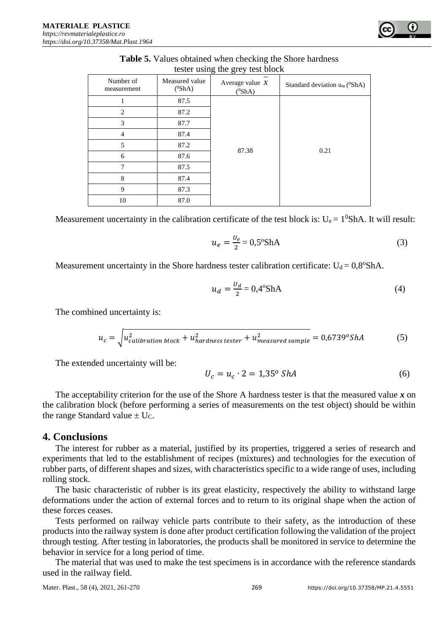| Number of<br>measurement | Measured value<br>$(^0$ ShA) | Average value $x$<br>$(^0$ ShA) | Standard deviation $u_m$ ( $^0$ ShA) |  |  |
|--------------------------|------------------------------|---------------------------------|--------------------------------------|--|--|
|                          | 87.5                         |                                 |                                      |  |  |
| 2<br>3                   | 87.2                         |                                 |                                      |  |  |
|                          | 87.7                         |                                 |                                      |  |  |
| 4                        | 87.4                         |                                 |                                      |  |  |
| 5                        | 87.2                         | 87.38                           | 0.21                                 |  |  |
| 6                        | 87.6                         |                                 |                                      |  |  |
| 7                        | 87.5                         |                                 |                                      |  |  |
| 8                        | 87.4                         |                                 |                                      |  |  |
| 9                        | 87.3                         |                                 |                                      |  |  |
| 10                       | 87.0                         |                                 |                                      |  |  |

| <b>Table 5.</b> Values obtained when checking the Shore hardness |
|------------------------------------------------------------------|
| tester using the grey test block                                 |

Measurement uncertainty in the calibration certificate of the test block is:  $U_e = 1^0$ ShA. It will result:

$$
u_e = \frac{v_e}{2} = 0.5^{\circ} \text{ShA}
$$
 (3)

Measurement uncertainty in the Shore hardness tester calibration certificate:  $U_d = 0.8^\circ S$ hA.

$$
u_d = \frac{U_d}{2} = 0.4^{\circ} \text{ShA}
$$
 (4)

The combined uncertainty is:

$$
u_c = \sqrt{u_{calibration\ block}^2 + u_{hardness\ tester}^2 + u_{measured\ sample}^2} = 0.6739^o ShA
$$
 (5)

The extended uncertainty will be:

$$
U_c = u_c \cdot 2 = 1,35^{\circ} \text{ShA}
$$
 (6)

The acceptability criterion for the use of the Shore A hardness tester is that the measured value *x* on the calibration block (before performing a series of measurements on the test object) should be within the range Standard value  $\pm U_C$ .

#### **4. Conclusions**

The interest for rubber as a material, justified by its properties, triggered a series of research and experiments that led to the establishment of recipes (mixtures) and technologies for the execution of rubber parts, of different shapes and sizes, with characteristics specific to a wide range of uses, including rolling stock.

The basic characteristic of rubber is its great elasticity, respectively the ability to withstand large deformations under the action of external forces and to return to its original shape when the action of these forces ceases.

Tests performed on railway vehicle parts contribute to their safety, as the introduction of these products into the railway system is done after product certification following the validation of the project through testing. After testing in laboratories, the products shall be monitored in service to determine the behavior in service for a long period of time.

The material that was used to make the test specimens is in accordance with the reference standards used in the railway field.